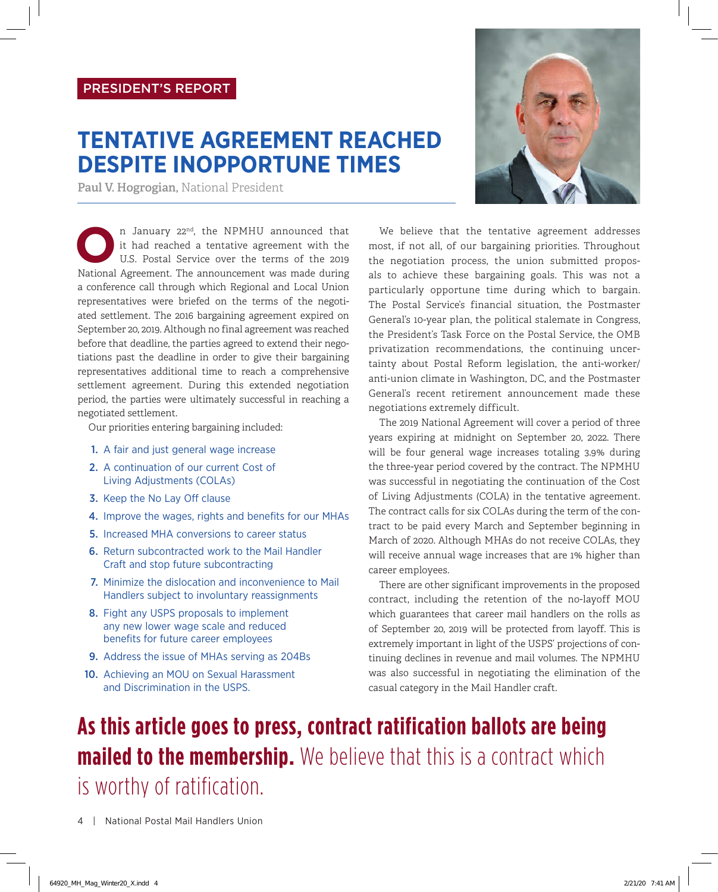## **TENTATIVE AGREEMENT REACHED DESPITE INOPPORTUNE TIMES**

**Paul V. Hogrogian,** National President

In January 22<sup>nd</sup>, the NPMHU announced that<br>it had reached a tentative agreement with the<br>U.S. Postal Service over the terms of the 2019<br>National Agreement The announcement was made during it had reached a tentative agreement with the U.S. Postal Service over the terms of the 2019 National Agreement. The announcement was made during a conference call through which Regional and Local Union representatives were briefed on the terms of the negotiated settlement. The 2016 bargaining agreement expired on September 20, 2019. Although no final agreement was reached before that deadline, the parties agreed to extend their negotiations past the deadline in order to give their bargaining representatives additional time to reach a comprehensive settlement agreement. During this extended negotiation period, the parties were ultimately successful in reaching a negotiated settlement.

Our priorities entering bargaining included:

- 1. A fair and just general wage increase
- 2. A continuation of our current Cost of Living Adjustments (COLAs)
- 3. Keep the No Lay Off clause
- 4. Improve the wages, rights and benefits for our MHAs
- 5. Increased MHA conversions to career status
- 6. Return subcontracted work to the Mail Handler Craft and stop future subcontracting
- 7. Minimize the dislocation and inconvenience to Mail Handlers subject to involuntary reassignments
- 8. Fight any USPS proposals to implement any new lower wage scale and reduced benefits for future career employees
- 9. Address the issue of MHAs serving as 204Bs
- 10. Achieving an MOU on Sexual Harassment and Discrimination in the USPS.



We believe that the tentative agreement addresses most, if not all, of our bargaining priorities. Throughout the negotiation process, the union submitted proposals to achieve these bargaining goals. This was not a particularly opportune time during which to bargain. The Postal Service's financial situation, the Postmaster General's 10-year plan, the political stalemate in Congress, the President's Task Force on the Postal Service, the OMB privatization recommendations, the continuing uncertainty about Postal Reform legislation, the anti-worker/ anti-union climate in Washington, DC, and the Postmaster General's recent retirement announcement made these negotiations extremely difficult.

The 2019 National Agreement will cover a period of three years expiring at midnight on September 20, 2022. There will be four general wage increases totaling 3.9% during the three-year period covered by the contract. The NPMHU was successful in negotiating the continuation of the Cost of Living Adjustments (COLA) in the tentative agreement. The contract calls for six COLAs during the term of the contract to be paid every March and September beginning in March of 2020. Although MHAs do not receive COLAs, they will receive annual wage increases that are 1% higher than career employees.

There are other significant improvements in the proposed contract, including the retention of the no-layoff MOU which guarantees that career mail handlers on the rolls as of September 20, 2019 will be protected from layoff. This is extremely important in light of the USPS' projections of continuing declines in revenue and mail volumes. The NPMHU was also successful in negotiating the elimination of the casual category in the Mail Handler craft.

## **As this article goes to press, contract ratification ballots are being mailed to the membership.** We believe that this is a contract which is worthy of ratification.

4 | National Postal Mail Handlers Union